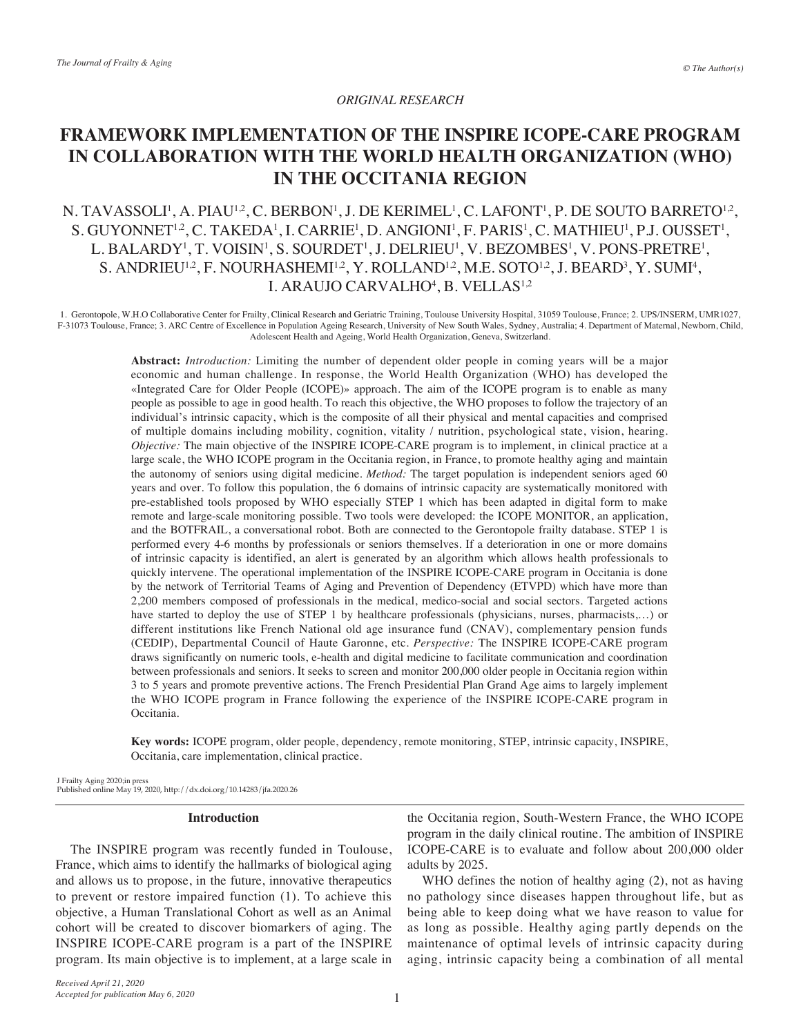## *ORIGINAL RESEARCH*

# **FRAMEWORK IMPLEMENTATION OF THE INSPIRE ICOPE-CARE PROGRAM IN COLLABORATION WITH THE WORLD HEALTH ORGANIZATION (WHO) IN THE OCCITANIA REGION**

## N. TAVASSOLI<sup>1</sup>, A. PIAU<sup>1,2</sup>, C. BERBON<sup>1</sup>, J. DE KERIMEL<sup>1</sup>, C. LAFONT<sup>1</sup>, P. DE SOUTO BARRETO<sup>1,2</sup>, S. GUYONNET<sup>1,2</sup>, C. TAKEDA<sup>1</sup>, I. CARRIE<sup>1</sup>, D. ANGIONI<sup>1</sup>, F. PARIS<sup>1</sup>, C. MATHIEU<sup>1</sup>, P.J. OUSSET<sup>1</sup>, L. BALARDY<sup>1</sup>, T. VOISIN<sup>1</sup>, S. SOURDET<sup>1</sup>, J. DELRIEU<sup>1</sup>, V. BEZOMBES<sup>1</sup>, V. PONS-PRETRE<sup>1</sup>, S. ANDRIEU<sup>1,2</sup>, F. NOURHASHEMI<sup>1,2</sup>, Y. ROLLAND<sup>1,2</sup>, M.E. SOTO<sup>1,2</sup>, J. BEARD<sup>3</sup>, Y. SUMI<sup>4</sup>, I. ARAUJO CARVALHO<sup>4</sup>, B. VELLAS<sup>1,2</sup>

1. Gerontopole, W.H.O Collaborative Center for Frailty, Clinical Research and Geriatric Training, Toulouse University Hospital, 31059 Toulouse, France; 2. UPS/INSERM, UMR1027, F-31073 Toulouse, France; 3. ARC Centre of Excellence in Population Ageing Research, University of New South Wales, Sydney, Australia; 4. Department of Maternal, Newborn, Child, Adolescent Health and Ageing, World Health Organization, Geneva, Switzerland.

> **Abstract:** *Introduction:* Limiting the number of dependent older people in coming years will be a major economic and human challenge. In response, the World Health Organization (WHO) has developed the «Integrated Care for Older People (ICOPE)» approach. The aim of the ICOPE program is to enable as many people as possible to age in good health. To reach this objective, the WHO proposes to follow the trajectory of an individual's intrinsic capacity, which is the composite of all their physical and mental capacities and comprised of multiple domains including mobility, cognition, vitality / nutrition, psychological state, vision, hearing. *Objective:* The main objective of the INSPIRE ICOPE-CARE program is to implement, in clinical practice at a large scale, the WHO ICOPE program in the Occitania region, in France, to promote healthy aging and maintain the autonomy of seniors using digital medicine. *Method:* The target population is independent seniors aged 60 years and over. To follow this population, the 6 domains of intrinsic capacity are systematically monitored with pre-established tools proposed by WHO especially STEP 1 which has been adapted in digital form to make remote and large-scale monitoring possible. Two tools were developed: the ICOPE MONITOR, an application, and the BOTFRAIL, a conversational robot. Both are connected to the Gerontopole frailty database. STEP 1 is performed every 4-6 months by professionals or seniors themselves. If a deterioration in one or more domains of intrinsic capacity is identified, an alert is generated by an algorithm which allows health professionals to quickly intervene. The operational implementation of the INSPIRE ICOPE-CARE program in Occitania is done by the network of Territorial Teams of Aging and Prevention of Dependency (ETVPD) which have more than 2,200 members composed of professionals in the medical, medico-social and social sectors. Targeted actions have started to deploy the use of STEP 1 by healthcare professionals (physicians, nurses, pharmacists,...) or different institutions like French National old age insurance fund (CNAV), complementary pension funds (CEDIP), Departmental Council of Haute Garonne, etc. *Perspective:* The INSPIRE ICOPE-CARE program draws significantly on numeric tools, e-health and digital medicine to facilitate communication and coordination between professionals and seniors. It seeks to screen and monitor 200,000 older people in Occitania region within 3 to 5 years and promote preventive actions. The French Presidential Plan Grand Age aims to largely implement the WHO ICOPE program in France following the experience of the INSPIRE ICOPE-CARE program in Occitania.

> **Key words:** ICOPE program, older people, dependency, remote monitoring, STEP, intrinsic capacity, INSPIRE, Occitania, care implementation, clinical practice.

J Frailty Aging 2020;in press

Published online May 19, 2020, http://dx.doi.org/10.14283/jfa.2020.26

## **Introduction**

The INSPIRE program was recently funded in Toulouse, France, which aims to identify the hallmarks of biological aging and allows us to propose, in the future, innovative therapeutics to prevent or restore impaired function (1). To achieve this objective, a Human Translational Cohort as well as an Animal cohort will be created to discover biomarkers of aging. The INSPIRE ICOPE-CARE program is a part of the INSPIRE program. Its main objective is to implement, at a large scale in

the Occitania region, South-Western France, the WHO ICOPE program in the daily clinical routine. The ambition of INSPIRE ICOPE-CARE is to evaluate and follow about 200,000 older adults by 2025.

WHO defines the notion of healthy aging (2), not as having no pathology since diseases happen throughout life, but as being able to keep doing what we have reason to value for as long as possible. Healthy aging partly depends on the maintenance of optimal levels of intrinsic capacity during aging, intrinsic capacity being a combination of all mental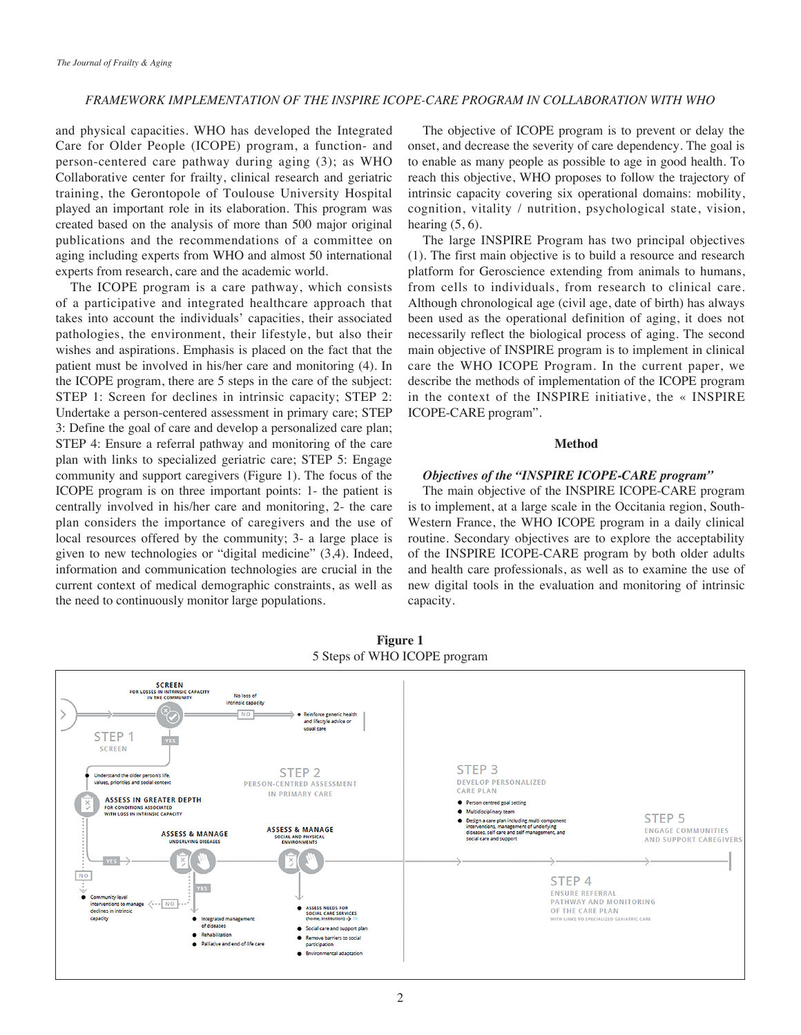## *FRAMEWORK IMPLEMENTATION OF THE INSPIRE ICOPE-CARE PROGRAM IN COLLABORATION WITH WHO*

and physical capacities. WHO has developed the Integrated Care for Older People (ICOPE) program, a function- and person-centered care pathway during aging (3); as WHO Collaborative center for frailty, clinical research and geriatric training, the Gerontopole of Toulouse University Hospital played an important role in its elaboration. This program was created based on the analysis of more than 500 major original publications and the recommendations of a committee on aging including experts from WHO and almost 50 international experts from research, care and the academic world.

The ICOPE program is a care pathway, which consists of a participative and integrated healthcare approach that takes into account the individuals' capacities, their associated pathologies, the environment, their lifestyle, but also their wishes and aspirations. Emphasis is placed on the fact that the patient must be involved in his/her care and monitoring (4). In the ICOPE program, there are 5 steps in the care of the subject: STEP 1: Screen for declines in intrinsic capacity; STEP 2: Undertake a person-centered assessment in primary care; STEP 3: Define the goal of care and develop a personalized care plan; STEP 4: Ensure a referral pathway and monitoring of the care plan with links to specialized geriatric care; STEP 5: Engage community and support caregivers (Figure 1). The focus of the ICOPE program is on three important points: 1- the patient is centrally involved in his/her care and monitoring, 2- the care plan considers the importance of caregivers and the use of local resources offered by the community; 3- a large place is given to new technologies or "digital medicine" (3,4). Indeed, information and communication technologies are crucial in the current context of medical demographic constraints, as well as the need to continuously monitor large populations.

The objective of ICOPE program is to prevent or delay the onset, and decrease the severity of care dependency. The goal is to enable as many people as possible to age in good health. To reach this objective, WHO proposes to follow the trajectory of intrinsic capacity covering six operational domains: mobility, cognition, vitality / nutrition, psychological state, vision, hearing  $(5, 6)$ .

The large INSPIRE Program has two principal objectives (1). The first main objective is to build a resource and research platform for Geroscience extending from animals to humans, from cells to individuals, from research to clinical care. Although chronological age (civil age, date of birth) has always been used as the operational definition of aging, it does not necessarily reflect the biological process of aging. The second main objective of INSPIRE program is to implement in clinical care the WHO ICOPE Program. In the current paper, we describe the methods of implementation of the ICOPE program in the context of the INSPIRE initiative, the « INSPIRE ICOPE-CARE program".

## **Method**

#### *Objectives of the "INSPIRE ICOPE-CARE program"*

The main objective of the INSPIRE ICOPE-CARE program is to implement, at a large scale in the Occitania region, South-Western France, the WHO ICOPE program in a daily clinical routine. Secondary objectives are to explore the acceptability of the INSPIRE ICOPE-CARE program by both older adults and health care professionals, as well as to examine the use of new digital tools in the evaluation and monitoring of intrinsic capacity.



**Figure 1** 5 Steps of WHO ICOPE program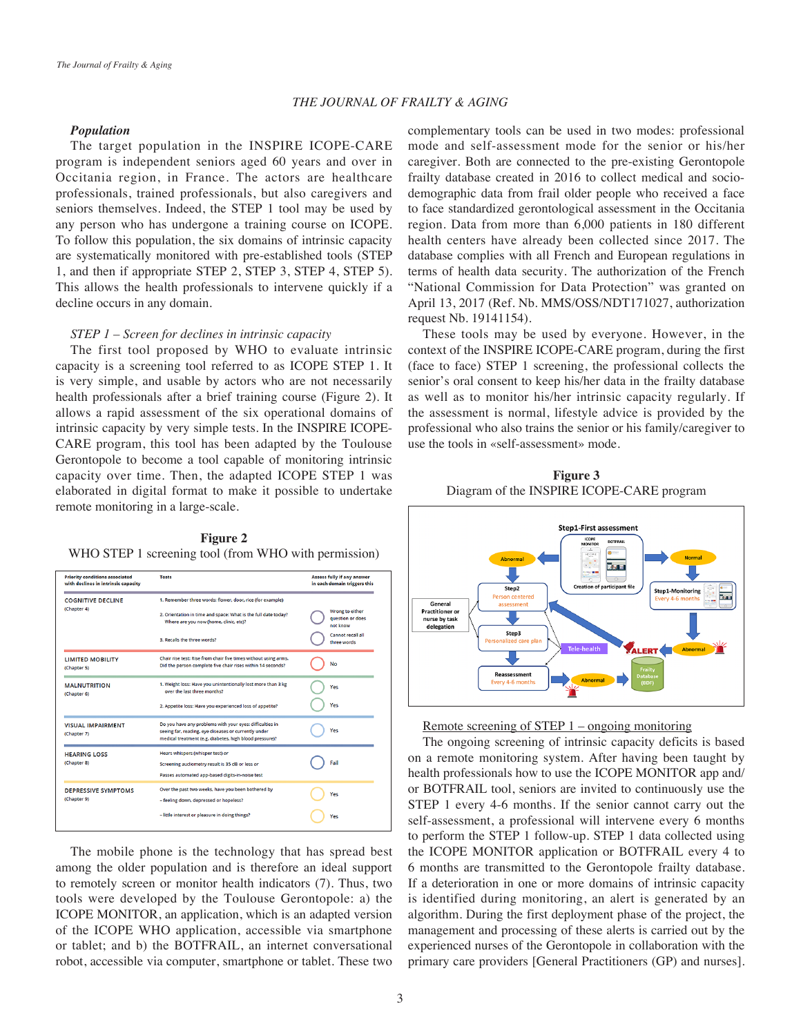## *Population*

The target population in the INSPIRE ICOPE-CARE program is independent seniors aged 60 years and over in Occitania region, in France. The actors are healthcare professionals, trained professionals, but also caregivers and seniors themselves. Indeed, the STEP 1 tool may be used by any person who has undergone a training course on ICOPE. To follow this population, the six domains of intrinsic capacity are systematically monitored with pre-established tools (STEP 1, and then if appropriate STEP 2, STEP 3, STEP 4, STEP 5). This allows the health professionals to intervene quickly if a decline occurs in any domain.

#### *STEP 1 – Screen for declines in intrinsic capacity*

The first tool proposed by WHO to evaluate intrinsic capacity is a screening tool referred to as ICOPE STEP 1. It is very simple, and usable by actors who are not necessarily health professionals after a brief training course (Figure 2). It allows a rapid assessment of the six operational domains of intrinsic capacity by very simple tests. In the INSPIRE ICOPE-CARE program, this tool has been adapted by the Toulouse Gerontopole to become a tool capable of monitoring intrinsic capacity over time. Then, the adapted ICOPE STEP 1 was elaborated in digital format to make it possible to undertake remote monitoring in a large-scale.

| <b>Figure 2</b>                                      |  |
|------------------------------------------------------|--|
| WHO STEP 1 screening tool (from WHO with permission) |  |

| <b>Priority conditions associated</b><br>with declines in intrinsic capacity | <b>Tosts</b>                                                                                                                                                                | Assess fully if any answer<br>in each domain triggers this |
|------------------------------------------------------------------------------|-----------------------------------------------------------------------------------------------------------------------------------------------------------------------------|------------------------------------------------------------|
| <b>COGNITIVE DECLINE</b>                                                     | 1. Remember three words: flower, door, rice (for example)                                                                                                                   |                                                            |
| (Chapter 4)                                                                  | 2. Orientation in time and space: What is the full date today?<br>Where are you now (home, clinic, etc)?                                                                    | Wrong to either<br>question or does<br>not know            |
|                                                                              | 3. Recalls the three words?                                                                                                                                                 | Cannot recall all<br>three words                           |
| <b>LIMITED MOBILITY</b><br>(Chapter 5)                                       | Chair rise test: Rise from chair five times without using arms.<br>Did the person complete five chair rises within 14 seconds?                                              | No                                                         |
| <b>MALNUTRITION</b><br>(Chapter 6)                                           | 1. Weight loss: Have you unintentionally lost more than 3 kg<br>over the last three months?                                                                                 | Yes                                                        |
|                                                                              | 2. Appetite loss: Have you experienced loss of appetite?                                                                                                                    | Yes                                                        |
| <b>VISUAL IMPAIRMENT</b><br>(Chapter 7)                                      | Do you have any problems with your eyes: difficulties in<br>seeing far, reading, eye diseases or currently under<br>medical treatment (e.g. diabetes, high blood pressure)? | Yes                                                        |
| <b>HEARING LOSS</b>                                                          | Hears whispers (whisper test) or                                                                                                                                            |                                                            |
| (Chapter 8)                                                                  | Screening audiometry result is 35 dB or less or                                                                                                                             | Fail                                                       |
|                                                                              | Passes automated app-based digits-in-noise test                                                                                                                             |                                                            |
| <b>DEPRESSIVE SYMPTOMS</b>                                                   | Over the past two weeks, have you been bothered by                                                                                                                          | Yes                                                        |
| (Chapter 9)                                                                  | - feeling down, depressed or hopeless?                                                                                                                                      |                                                            |
|                                                                              | - little interest or pleasure in doing things?                                                                                                                              | Yes                                                        |

The mobile phone is the technology that has spread best among the older population and is therefore an ideal support to remotely screen or monitor health indicators (7). Thus, two tools were developed by the Toulouse Gerontopole: a) the ICOPE MONITOR, an application, which is an adapted version of the ICOPE WHO application, accessible via smartphone or tablet; and b) the BOTFRAIL, an internet conversational robot, accessible via computer, smartphone or tablet. These two

complementary tools can be used in two modes: professional mode and self-assessment mode for the senior or his/her caregiver. Both are connected to the pre-existing Gerontopole frailty database created in 2016 to collect medical and sociodemographic data from frail older people who received a face to face standardized gerontological assessment in the Occitania region. Data from more than 6,000 patients in 180 different health centers have already been collected since 2017. The database complies with all French and European regulations in terms of health data security. The authorization of the French "National Commission for Data Protection" was granted on April 13, 2017 (Ref. Nb. MMS/OSS/NDT171027, authorization request Nb. 19141154).

These tools may be used by everyone. However, in the context of the INSPIRE ICOPE-CARE program, during the first (face to face) STEP 1 screening, the professional collects the senior's oral consent to keep his/her data in the frailty database as well as to monitor his/her intrinsic capacity regularly. If the assessment is normal, lifestyle advice is provided by the professional who also trains the senior or his family/caregiver to use the tools in «self-assessment» mode.

**Figure 3** Diagram of the INSPIRE ICOPE-CARE program



Remote screening of STEP 1 – ongoing monitoring

The ongoing screening of intrinsic capacity deficits is based on a remote monitoring system. After having been taught by health professionals how to use the ICOPE MONITOR app and/ or BOTFRAIL tool, seniors are invited to continuously use the STEP 1 every 4-6 months. If the senior cannot carry out the self-assessment, a professional will intervene every 6 months to perform the STEP 1 follow-up. STEP 1 data collected using the ICOPE MONITOR application or BOTFRAIL every 4 to 6 months are transmitted to the Gerontopole frailty database. If a deterioration in one or more domains of intrinsic capacity is identified during monitoring, an alert is generated by an algorithm. During the first deployment phase of the project, the management and processing of these alerts is carried out by the experienced nurses of the Gerontopole in collaboration with the primary care providers [General Practitioners (GP) and nurses].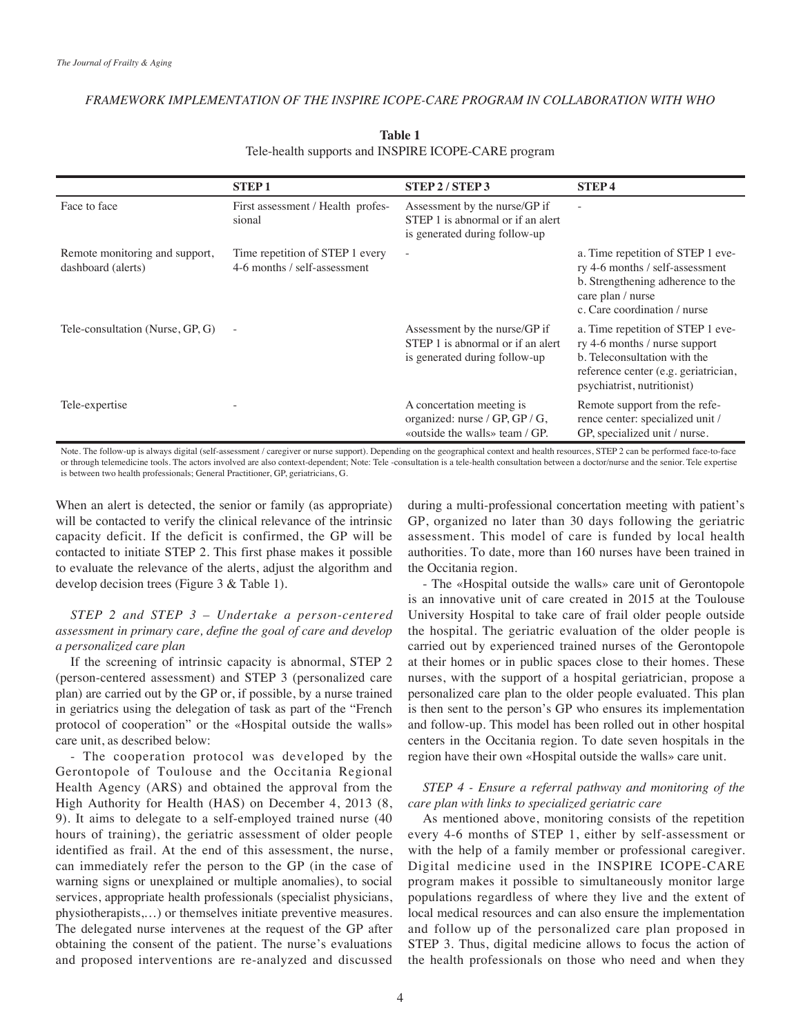## *FRAMEWORK IMPLEMENTATION OF THE INSPIRE ICOPE-CARE PROGRAM IN COLLABORATION WITH WHO*

|                                                      | <b>STEP1</b>                                                    | STEP 2/STEP 3                                                                                       | <b>STEP4</b>                                                                                                                                                              |
|------------------------------------------------------|-----------------------------------------------------------------|-----------------------------------------------------------------------------------------------------|---------------------------------------------------------------------------------------------------------------------------------------------------------------------------|
| Face to face                                         | First assessment / Health profes-<br>sional                     | Assessment by the nurse/GP if<br>STEP 1 is abnormal or if an alert<br>is generated during follow-up |                                                                                                                                                                           |
| Remote monitoring and support,<br>dashboard (alerts) | Time repetition of STEP 1 every<br>4-6 months / self-assessment | $\overline{\phantom{a}}$                                                                            | a. Time repetition of STEP 1 eve-<br>ry 4-6 months / self-assessment<br>b. Strengthening adherence to the<br>care plan / nurse<br>c. Care coordination / nurse            |
| Tele-consultation (Nurse, GP, G)                     |                                                                 | Assessment by the nurse/GP if<br>STEP 1 is abnormal or if an alert<br>is generated during follow-up | a. Time repetition of STEP 1 eve-<br>ry 4-6 months / nurse support<br>b. Teleconsultation with the<br>reference center (e.g. geriatrician,<br>psychiatrist, nutritionist) |
| Tele-expertise                                       |                                                                 | A concertation meeting is<br>organized: nurse / GP, GP / G,<br>«outside the walls» team / GP.       | Remote support from the refe-<br>rence center: specialized unit /<br>GP, specialized unit / nurse.                                                                        |

**Table 1** Tele-health supports and INSPIRE ICOPE-CARE program

Note. The follow-up is always digital (self-assessment / caregiver or nurse support). Depending on the geographical context and health resources, STEP 2 can be performed face-to-face or through telemedicine tools. The actors involved are also context-dependent; Note: Tele -consultation is a tele-health consultation between a doctor/nurse and the senior. Tele expertise is between two health professionals; General Practitioner, GP, geriatricians, G.

When an alert is detected, the senior or family (as appropriate) will be contacted to verify the clinical relevance of the intrinsic capacity deficit. If the deficit is confirmed, the GP will be contacted to initiate STEP 2. This first phase makes it possible to evaluate the relevance of the alerts, adjust the algorithm and develop decision trees (Figure 3 & Table 1).

## *STEP 2 and STEP 3 – Undertake a person-centered assessment in primary care, define the goal of care and develop a personalized care plan*

If the screening of intrinsic capacity is abnormal, STEP 2 (person-centered assessment) and STEP 3 (personalized care plan) are carried out by the GP or, if possible, by a nurse trained in geriatrics using the delegation of task as part of the "French protocol of cooperation" or the «Hospital outside the walls» care unit, as described below:

- The cooperation protocol was developed by the Gerontopole of Toulouse and the Occitania Regional Health Agency (ARS) and obtained the approval from the High Authority for Health (HAS) on December 4, 2013 (8, 9). It aims to delegate to a self-employed trained nurse (40 hours of training), the geriatric assessment of older people identified as frail. At the end of this assessment, the nurse, can immediately refer the person to the GP (in the case of warning signs or unexplained or multiple anomalies), to social services, appropriate health professionals (specialist physicians, physiotherapists,…) or themselves initiate preventive measures. The delegated nurse intervenes at the request of the GP after obtaining the consent of the patient. The nurse's evaluations and proposed interventions are re-analyzed and discussed

during a multi-professional concertation meeting with patient's GP, organized no later than 30 days following the geriatric assessment. This model of care is funded by local health authorities. To date, more than 160 nurses have been trained in the Occitania region.

- The «Hospital outside the walls» care unit of Gerontopole is an innovative unit of care created in 2015 at the Toulouse University Hospital to take care of frail older people outside the hospital. The geriatric evaluation of the older people is carried out by experienced trained nurses of the Gerontopole at their homes or in public spaces close to their homes. These nurses, with the support of a hospital geriatrician, propose a personalized care plan to the older people evaluated. This plan is then sent to the person's GP who ensures its implementation and follow-up. This model has been rolled out in other hospital centers in the Occitania region. To date seven hospitals in the region have their own «Hospital outside the walls» care unit.

## *STEP 4 - Ensure a referral pathway and monitoring of the care plan with links to specialized geriatric care*

As mentioned above, monitoring consists of the repetition every 4-6 months of STEP 1, either by self-assessment or with the help of a family member or professional caregiver. Digital medicine used in the INSPIRE ICOPE-CARE program makes it possible to simultaneously monitor large populations regardless of where they live and the extent of local medical resources and can also ensure the implementation and follow up of the personalized care plan proposed in STEP 3. Thus, digital medicine allows to focus the action of the health professionals on those who need and when they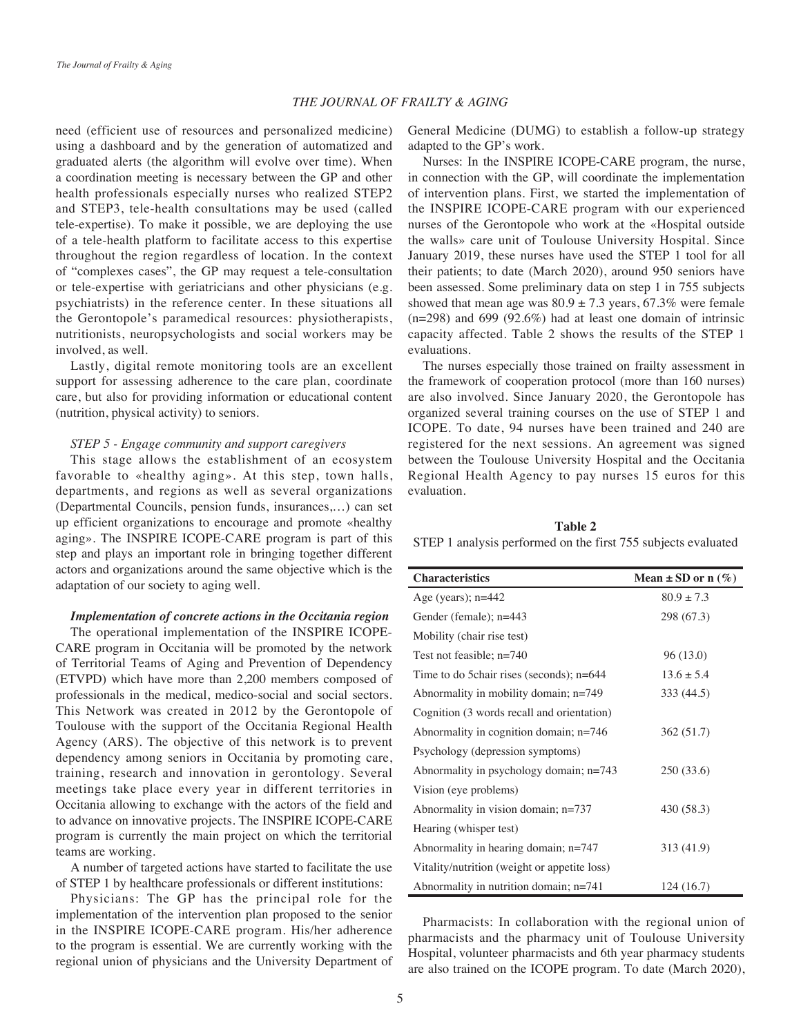## *THE JOURNAL OF FRAILTY & AGING*

need (efficient use of resources and personalized medicine) using a dashboard and by the generation of automatized and graduated alerts (the algorithm will evolve over time). When a coordination meeting is necessary between the GP and other health professionals especially nurses who realized STEP2 and STEP3, tele-health consultations may be used (called tele-expertise). To make it possible, we are deploying the use of a tele-health platform to facilitate access to this expertise throughout the region regardless of location. In the context of "complexes cases", the GP may request a tele-consultation or tele-expertise with geriatricians and other physicians (e.g. psychiatrists) in the reference center. In these situations all the Gerontopole's paramedical resources: physiotherapists, nutritionists, neuropsychologists and social workers may be involved, as well.

Lastly, digital remote monitoring tools are an excellent support for assessing adherence to the care plan, coordinate care, but also for providing information or educational content (nutrition, physical activity) to seniors.

#### *STEP 5 - Engage community and support caregivers*

This stage allows the establishment of an ecosystem favorable to «healthy aging». At this step, town halls, departments, and regions as well as several organizations (Departmental Councils, pension funds, insurances,…) can set up efficient organizations to encourage and promote «healthy aging». The INSPIRE ICOPE-CARE program is part of this step and plays an important role in bringing together different actors and organizations around the same objective which is the adaptation of our society to aging well.

## *Implementation of concrete actions in the Occitania region*

The operational implementation of the INSPIRE ICOPE-CARE program in Occitania will be promoted by the network of Territorial Teams of Aging and Prevention of Dependency (ETVPD) which have more than 2,200 members composed of professionals in the medical, medico-social and social sectors. This Network was created in 2012 by the Gerontopole of Toulouse with the support of the Occitania Regional Health Agency (ARS). The objective of this network is to prevent dependency among seniors in Occitania by promoting care, training, research and innovation in gerontology. Several meetings take place every year in different territories in Occitania allowing to exchange with the actors of the field and to advance on innovative projects. The INSPIRE ICOPE-CARE program is currently the main project on which the territorial teams are working.

A number of targeted actions have started to facilitate the use of STEP 1 by healthcare professionals or different institutions:

Physicians: The GP has the principal role for the implementation of the intervention plan proposed to the senior in the INSPIRE ICOPE-CARE program. His/her adherence to the program is essential. We are currently working with the regional union of physicians and the University Department of General Medicine (DUMG) to establish a follow-up strategy adapted to the GP's work.

Nurses: In the INSPIRE ICOPE-CARE program, the nurse, in connection with the GP, will coordinate the implementation of intervention plans. First, we started the implementation of the INSPIRE ICOPE-CARE program with our experienced nurses of the Gerontopole who work at the «Hospital outside the walls» care unit of Toulouse University Hospital. Since January 2019, these nurses have used the STEP 1 tool for all their patients; to date (March 2020), around 950 seniors have been assessed. Some preliminary data on step 1 in 755 subjects showed that mean age was  $80.9 \pm 7.3$  years, 67.3% were female  $(n=298)$  and 699 (92.6%) had at least one domain of intrinsic capacity affected. Table 2 shows the results of the STEP 1 evaluations.

The nurses especially those trained on frailty assessment in the framework of cooperation protocol (more than 160 nurses) are also involved. Since January 2020, the Gerontopole has organized several training courses on the use of STEP 1 and ICOPE. To date, 94 nurses have been trained and 240 are registered for the next sessions. An agreement was signed between the Toulouse University Hospital and the Occitania Regional Health Agency to pay nurses 15 euros for this evaluation.

| Table 2 |                                                               |  |  |  |
|---------|---------------------------------------------------------------|--|--|--|
|         | STEP 1 analysis performed on the first 755 subjects evaluated |  |  |  |

| <b>Characteristics</b>                       | Mean $\pm$ SD or n $(\%)$ |
|----------------------------------------------|---------------------------|
| Age (years); $n=442$                         | $80.9 \pm 7.3$            |
| Gender (female); $n=443$                     | 298 (67.3)                |
| Mobility (chair rise test)                   |                           |
| Test not feasible; $n=740$                   | 96 (13.0)                 |
| Time to do 5 chair rises (seconds); $n=644$  | $13.6 \pm 5.4$            |
| Abnormality in mobility domain; n=749        | 333 (44.5)                |
| Cognition (3 words recall and orientation)   |                           |
| Abnormality in cognition domain; n=746       | 362 (51.7)                |
| Psychology (depression symptoms)             |                           |
| Abnormality in psychology domain; n=743      | 250 (33.6)                |
| Vision (eye problems)                        |                           |
| Abnormality in vision domain; $n=737$        | 430 (58.3)                |
| Hearing (whisper test)                       |                           |
| Abnormality in hearing domain; $n=747$       | 313 (41.9)                |
| Vitality/nutrition (weight or appetite loss) |                           |
| Abnormality in nutrition domain; n=741       | 124(16.7)                 |

Pharmacists: In collaboration with the regional union of pharmacists and the pharmacy unit of Toulouse University Hospital, volunteer pharmacists and 6th year pharmacy students are also trained on the ICOPE program. To date (March 2020),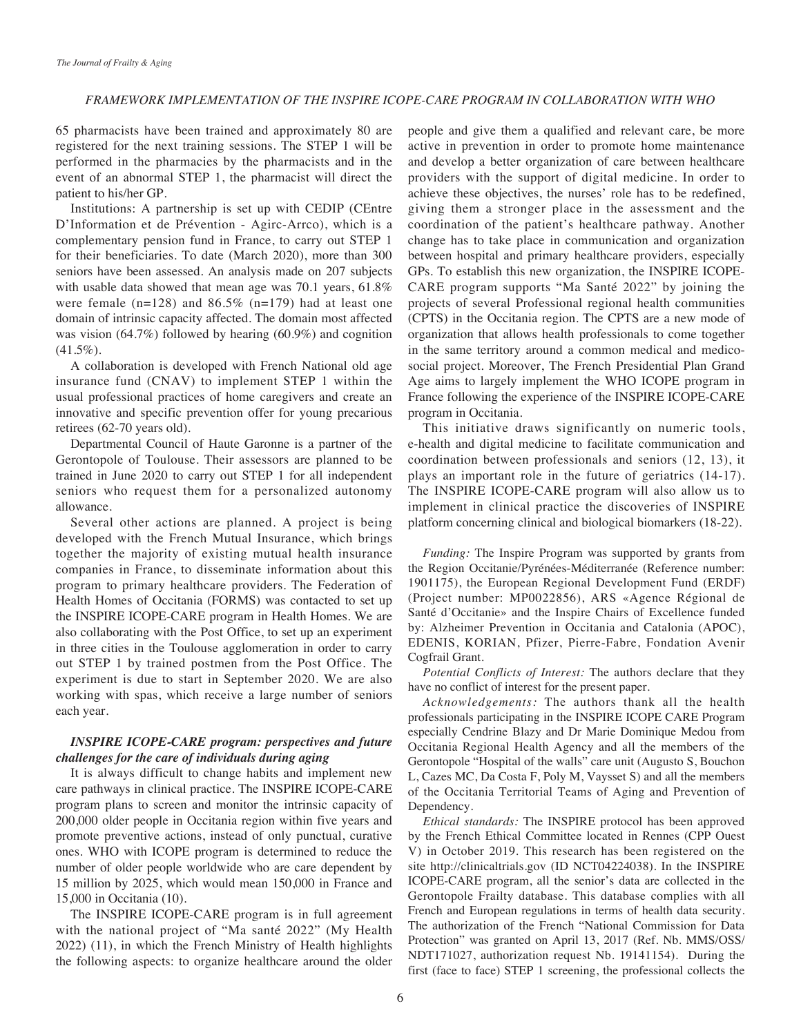## *FRAMEWORK IMPLEMENTATION OF THE INSPIRE ICOPE-CARE PROGRAM IN COLLABORATION WITH WHO*

65 pharmacists have been trained and approximately 80 are registered for the next training sessions. The STEP 1 will be performed in the pharmacies by the pharmacists and in the event of an abnormal STEP 1, the pharmacist will direct the patient to his/her GP.

Institutions: A partnership is set up with CEDIP (CEntre D'Information et de Prévention - Agirc-Arrco), which is a complementary pension fund in France, to carry out STEP 1 for their beneficiaries. To date (March 2020), more than 300 seniors have been assessed. An analysis made on 207 subjects with usable data showed that mean age was 70.1 years, 61.8% were female ( $n=128$ ) and 86.5% ( $n=179$ ) had at least one domain of intrinsic capacity affected. The domain most affected was vision (64.7%) followed by hearing (60.9%) and cognition  $(41.5\%)$ .

A collaboration is developed with French National old age insurance fund (CNAV) to implement STEP 1 within the usual professional practices of home caregivers and create an innovative and specific prevention offer for young precarious retirees (62-70 years old).

Departmental Council of Haute Garonne is a partner of the Gerontopole of Toulouse. Their assessors are planned to be trained in June 2020 to carry out STEP 1 for all independent seniors who request them for a personalized autonomy allowance.

Several other actions are planned. A project is being developed with the French Mutual Insurance, which brings together the majority of existing mutual health insurance companies in France, to disseminate information about this program to primary healthcare providers. The Federation of Health Homes of Occitania (FORMS) was contacted to set up the INSPIRE ICOPE-CARE program in Health Homes. We are also collaborating with the Post Office, to set up an experiment in three cities in the Toulouse agglomeration in order to carry out STEP 1 by trained postmen from the Post Office. The experiment is due to start in September 2020. We are also working with spas, which receive a large number of seniors each year.

## *INSPIRE ICOPE-CARE program: perspectives and future challenges for the care of individuals during aging*

It is always difficult to change habits and implement new care pathways in clinical practice. The INSPIRE ICOPE-CARE program plans to screen and monitor the intrinsic capacity of 200,000 older people in Occitania region within five years and promote preventive actions, instead of only punctual, curative ones. WHO with ICOPE program is determined to reduce the number of older people worldwide who are care dependent by 15 million by 2025, which would mean 150,000 in France and 15,000 in Occitania (10).

The INSPIRE ICOPE-CARE program is in full agreement with the national project of "Ma santé 2022" (My Health 2022) (11), in which the French Ministry of Health highlights the following aspects: to organize healthcare around the older people and give them a qualified and relevant care, be more active in prevention in order to promote home maintenance and develop a better organization of care between healthcare providers with the support of digital medicine. In order to achieve these objectives, the nurses' role has to be redefined, giving them a stronger place in the assessment and the coordination of the patient's healthcare pathway. Another change has to take place in communication and organization between hospital and primary healthcare providers, especially GPs. To establish this new organization, the INSPIRE ICOPE-CARE program supports "Ma Santé 2022" by joining the projects of several Professional regional health communities (CPTS) in the Occitania region. The CPTS are a new mode of organization that allows health professionals to come together in the same territory around a common medical and medicosocial project. Moreover, The French Presidential Plan Grand Age aims to largely implement the WHO ICOPE program in France following the experience of the INSPIRE ICOPE-CARE program in Occitania.

This initiative draws significantly on numeric tools, e-health and digital medicine to facilitate communication and coordination between professionals and seniors (12, 13), it plays an important role in the future of geriatrics (14-17). The INSPIRE ICOPE-CARE program will also allow us to implement in clinical practice the discoveries of INSPIRE platform concerning clinical and biological biomarkers (18-22).

*Funding:* The Inspire Program was supported by grants from the Region Occitanie/Pyrénées-Méditerranée (Reference number: 1901175), the European Regional Development Fund (ERDF) (Project number: MP0022856), ARS «Agence Régional de Santé d'Occitanie» and the Inspire Chairs of Excellence funded by: Alzheimer Prevention in Occitania and Catalonia (APOC), EDENIS, KORIAN, Pfizer, Pierre-Fabre, Fondation Avenir Cogfrail Grant.

*Potential Conflicts of Interest:* The authors declare that they have no conflict of interest for the present paper.

*Acknowledgements:* The authors thank all the health professionals participating in the INSPIRE ICOPE CARE Program especially Cendrine Blazy and Dr Marie Dominique Medou from Occitania Regional Health Agency and all the members of the Gerontopole "Hospital of the walls" care unit (Augusto S, Bouchon L, Cazes MC, Da Costa F, Poly M, Vaysset S) and all the members of the Occitania Territorial Teams of Aging and Prevention of Dependency.

*Ethical standards:* The INSPIRE protocol has been approved by the French Ethical Committee located in Rennes (CPP Ouest V) in October 2019. This research has been registered on the site http://clinicaltrials.gov (ID NCT04224038). In the INSPIRE ICOPE-CARE program, all the senior's data are collected in the Gerontopole Frailty database. This database complies with all French and European regulations in terms of health data security. The authorization of the French "National Commission for Data Protection" was granted on April 13, 2017 (Ref. Nb. MMS/OSS/ NDT171027, authorization request Nb. 19141154). During the first (face to face) STEP 1 screening, the professional collects the